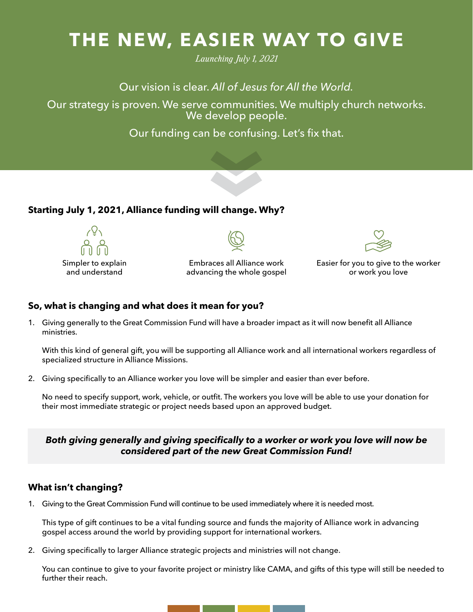# **THE NEW, EASIER WAY TO GIVE**

*Launching July 1, 2021*

Our vision is clear. *All of Jesus for All the World.*

Our strategy is proven. We serve communities. We multiply church networks. We develop people.

Our funding can be confusing. Let's fix that.

#### **Starting July 1, 2021, Alliance funding will change. Why?**



Embraces all Alliance work advancing the whole gospel



Easier for you to give to the worker or work you love

#### **So, what is changing and what does it mean for you?**

1. Giving generally to the Great Commission Fund will have a broader impact as it will now benefit all Alliance ministries.

With this kind of general gift, you will be supporting all Alliance work and all international workers regardless of specialized structure in Alliance Missions.

2. Giving specifically to an Alliance worker you love will be simpler and easier than ever before.

No need to specify support, work, vehicle, or outfit. The workers you love will be able to use your donation for their most immediate strategic or project needs based upon an approved budget.

## *Both giving generally and giving specifically to a worker or work you love will now be considered part of the new Great Commission Fund!*

## **What isn't changing?**

1. Giving to the Great Commission Fund will continue to be used immediately where it is needed most.

This type of gift continues to be a vital funding source and funds the majority of Alliance work in advancing gospel access around the world by providing support for international workers.

2. Giving specifically to larger Alliance strategic projects and ministries will not change.

You can continue to give to your favorite project or ministry like CAMA, and gifts of this type will still be needed to further their reach.